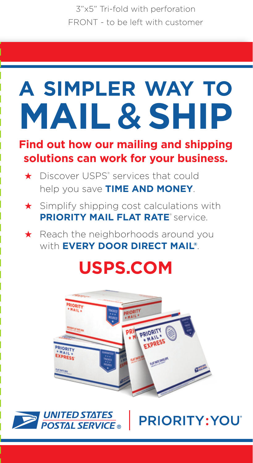3"x5" Tri-fold with perforation FRONT - to be left with customer

# **A SIMPLER WAY TO MAIL** & **SHIP**

#### **Find out how our mailing and shipping solutions can work for your business.**

- ★ Discover USPS® services that could help you save **TIME AND MONEY**.
- ★ Simplify shipping cost calculations with **PRIORITY MAIL FLAT RATE® service.**

★ Reach the neighborhoods around you with **EVERY DOOR DIRECT MAIL®**.

## **USPS.COM**





PRIORITY: YOU'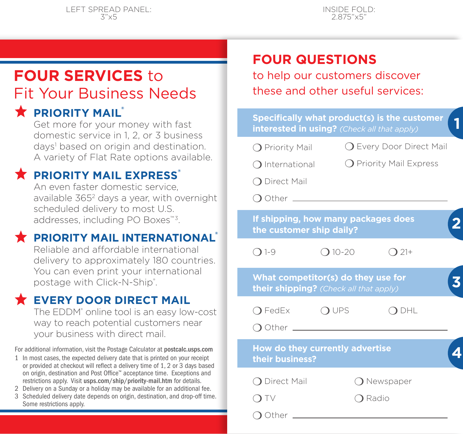### **FOUR SERVICES** to Fit Your Business Needs

### **PRIORITY MAIL**<sup>®</sup>

Get more for your money with fast domestic service in 1, 2, or 3 business days<sup>1</sup> based on origin and destination. A variety of Flat Rate options available.

### **PRIORITY MAIL EXPRESS®**

An even faster domestic service, available 365<sup>2</sup> days a year, with overnight scheduled delivery to most U.S. addresses, including PO Boxes™3.

#### **PRIORITY MAIL INTERNATIONAL**

Reliable and affordable international delivery to approximately 180 countries. You can even print your international postage with Click-N-Ship®.

#### **EVERY DOOR DIRECT MAIL**

The EDDM<sup>®</sup> online tool is an easy low-cost way to reach potential customers near your business with direct mail.

For additional information, visit the Postage Calculator at postcalc.usps.com

- 1 In most cases, the expected delivery date that is printed on your receipt or provided at checkout will reflect a delivery time of 1, 2 or 3 days based on origin, destination and Post Office™ acceptance time. Exceptions and restrictions apply. Visit usps.com/ship/priority-mail.htm for details.
- 2 Delivery on a Sunday or a holiday may be available for an additional fee.
- 3 Scheduled delivery date depends on origin, destination, and drop-off time. Some restrictions apply.

### **FOUR QUESTIONS**

to help our customers discover these and other useful services:

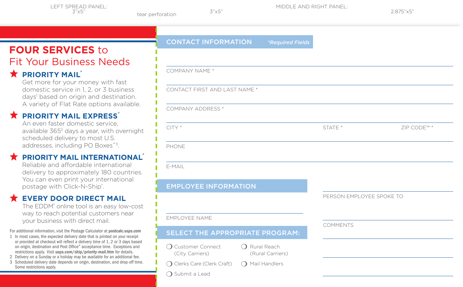MIDDLE AND RIGHT PANEL:

### **FOUR SERVICES** to Fit Your Business Needs

### **RIORITY MAIL®**

Get more for your money with fast domestic service in 1, 2, or 3 business days<sup>1</sup> based on origin and destination. A variety of Flat Rate options available.

### **PRIORITY MAIL EXPRESS®**

An even faster domestic service, available 365<sup>2</sup> days a year, with overnight scheduled delivery to most U.S. addresses, including PO Boxes™3.

#### **PRIORITY MAIL INTERNATIONAL®**

Reliable and affordable international delivery to approximately 180 countries. You can even print your international postage with Click-N-Ship®.

### **EVERY DOOR DIRECT MAIL**

The EDDM<sup>®</sup> online tool is an easy low-cost way to reach potential customers near your business with direct mail.

For additional information, visit the Postage Calculator at postcalc.usps.com

- 1 In most cases, the expected delivery date that is printed on your receipt or provided at checkout will reflect a delivery time of 1, 2 or 3 days based on origin, destination and Post Office™ acceptance time. Exceptions and restrictions apply. Visit usps.com/ship/priority-mail.htm for details.
- 2 Delivery on a Sunday or a holiday may be available for an additional fee.
- 3 Scheduled delivery date depends on origin, destination, and drop-off time. Some restrictions apply.

| <b>CONTACT INFORMATION</b>                                                  | <i>*Required Fields</i>                   |
|-----------------------------------------------------------------------------|-------------------------------------------|
|                                                                             |                                           |
| COMPANY NAME *                                                              |                                           |
| CONTACT FIRST AND LAST NAME *                                               |                                           |
| <b>COMPANY ADDRESS *</b>                                                    |                                           |
| $CITY*$                                                                     |                                           |
| PHONE                                                                       |                                           |
| E-MAIL                                                                      |                                           |
| <b>EMPLOYEE INFORMATION</b>                                                 |                                           |
|                                                                             |                                           |
| <b>EMPLOYEE NAME</b>                                                        |                                           |
| SELECT THE APPROPRIATE PROGRAM:                                             |                                           |
| ◯ Customer Connect<br>(City Carriers)                                       | $\bigcap$ Rural Reach<br>(Rural Carriers) |
| ◯ Clerks Care (Clerk Craft)<br>$\left( \right)$<br>$\bigcirc$ Submit a Lead | Mail Handlers                             |
|                                                                             |                                           |